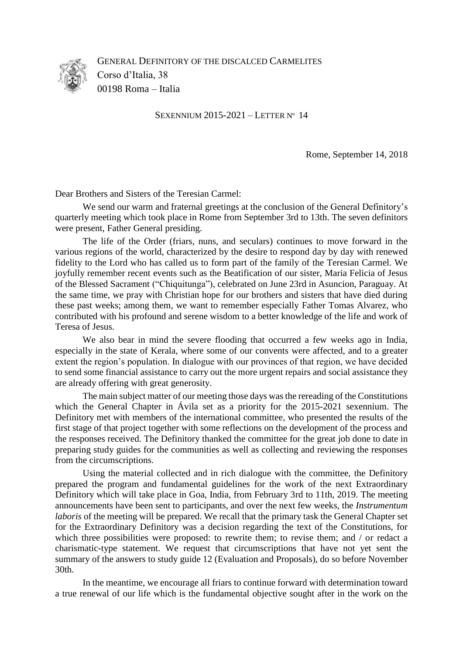

GENERAL DEFINITORY OF THE DISCALCED CARMELITES Corso d'Italia, 38 00198 Roma – Italia

SEXENNIUM 2015-2021 – LETTER Nº 14

Rome, September 14, 2018

Dear Brothers and Sisters of the Teresian Carmel:

We send our warm and fraternal greetings at the conclusion of the General Definitory's quarterly meeting which took place in Rome from September 3rd to 13th. The seven definitors were present, Father General presiding.

The life of the Order (friars, nuns, and seculars) continues to move forward in the various regions of the world, characterized by the desire to respond day by day with renewed fidelity to the Lord who has called us to form part of the family of the Teresian Carmel. We joyfully remember recent events such as the Beatification of our sister, Maria Felicia of Jesus of the Blessed Sacrament ("Chiquitunga"), celebrated on June 23rd in Asuncion, Paraguay. At the same time, we pray with Christian hope for our brothers and sisters that have died during these past weeks; among them, we want to remember especially Father Tomas Alvarez, who contributed with his profound and serene wisdom to a better knowledge of the life and work of Teresa of Jesus.

We also bear in mind the severe flooding that occurred a few weeks ago in India, especially in the state of Kerala, where some of our convents were affected, and to a greater extent the region's population. In dialogue with our provinces of that region, we have decided to send some financial assistance to carry out the more urgent repairs and social assistance they are already offering with great generosity.

The main subject matter of our meeting those days was the rereading of the Constitutions which the General Chapter in Ávila set as a priority for the 2015-2021 sexennium. The Definitory met with members of the international committee, who presented the results of the first stage of that project together with some reflections on the development of the process and the responses received. The Definitory thanked the committee for the great job done to date in preparing study guides for the communities as well as collecting and reviewing the responses from the circumscriptions.

Using the material collected and in rich dialogue with the committee, the Definitory prepared the program and fundamental guidelines for the work of the next Extraordinary Definitory which will take place in Goa, India, from February 3rd to 11th, 2019. The meeting announcements have been sent to participants, and over the next few weeks, the *Instrumentum laboris* of the meeting will be prepared. We recall that the primary task the General Chapter set for the Extraordinary Definitory was a decision regarding the text of the Constitutions, for which three possibilities were proposed: to rewrite them; to revise them; and / or redact a charismatic-type statement. We request that circumscriptions that have not yet sent the summary of the answers to study guide 12 (Evaluation and Proposals), do so before November 30th.

In the meantime, we encourage all friars to continue forward with determination toward a true renewal of our life which is the fundamental objective sought after in the work on the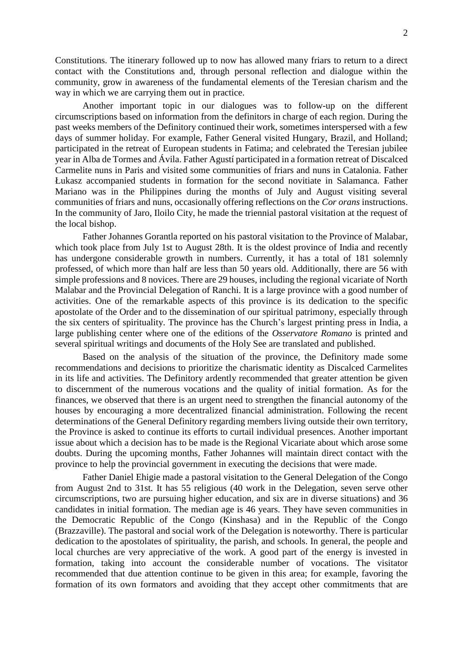Constitutions. The itinerary followed up to now has allowed many friars to return to a direct contact with the Constitutions and, through personal reflection and dialogue within the community, grow in awareness of the fundamental elements of the Teresian charism and the way in which we are carrying them out in practice.

Another important topic in our dialogues was to follow-up on the different circumscriptions based on information from the definitors in charge of each region. During the past weeks members of the Definitory continued their work, sometimes interspersed with a few days of summer holiday. For example, Father General visited Hungary, Brazil, and Holland; participated in the retreat of European students in Fatima; and celebrated the Teresian jubilee year in Alba de Tormes and Ávila. Father Agustí participated in a formation retreat of Discalced Carmelite nuns in Paris and visited some communities of friars and nuns in Catalonia. Father Łukasz accompanied students in formation for the second novitiate in Salamanca. Father Mariano was in the Philippines during the months of July and August visiting several communities of friars and nuns, occasionally offering reflections on the *Cor orans* instructions. In the community of Jaro, Iloilo City, he made the triennial pastoral visitation at the request of the local bishop.

Father Johannes Gorantla reported on his pastoral visitation to the Province of Malabar, which took place from July 1st to August 28th. It is the oldest province of India and recently has undergone considerable growth in numbers. Currently, it has a total of 181 solemnly professed, of which more than half are less than 50 years old. Additionally, there are 56 with simple professions and 8 novices. There are 29 houses, including the regional vicariate of North Malabar and the Provincial Delegation of Ranchi. It is a large province with a good number of activities. One of the remarkable aspects of this province is its dedication to the specific apostolate of the Order and to the dissemination of our spiritual patrimony, especially through the six centers of spirituality. The province has the Church's largest printing press in India, a large publishing center where one of the editions of the *Osservatore Romano* is printed and several spiritual writings and documents of the Holy See are translated and published.

Based on the analysis of the situation of the province, the Definitory made some recommendations and decisions to prioritize the charismatic identity as Discalced Carmelites in its life and activities. The Definitory ardently recommended that greater attention be given to discernment of the numerous vocations and the quality of initial formation. As for the finances, we observed that there is an urgent need to strengthen the financial autonomy of the houses by encouraging a more decentralized financial administration. Following the recent determinations of the General Definitory regarding members living outside their own territory, the Province is asked to continue its efforts to curtail individual presences. Another important issue about which a decision has to be made is the Regional Vicariate about which arose some doubts. During the upcoming months, Father Johannes will maintain direct contact with the province to help the provincial government in executing the decisions that were made.

Father Daniel Ehigie made a pastoral visitation to the General Delegation of the Congo from August 2nd to 31st. It has 55 religious (40 work in the Delegation, seven serve other circumscriptions, two are pursuing higher education, and six are in diverse situations) and 36 candidates in initial formation. The median age is 46 years. They have seven communities in the Democratic Republic of the Congo (Kinshasa) and in the Republic of the Congo (Brazzaville). The pastoral and social work of the Delegation is noteworthy. There is particular dedication to the apostolates of spirituality, the parish, and schools. In general, the people and local churches are very appreciative of the work. A good part of the energy is invested in formation, taking into account the considerable number of vocations. The visitator recommended that due attention continue to be given in this area; for example, favoring the formation of its own formators and avoiding that they accept other commitments that are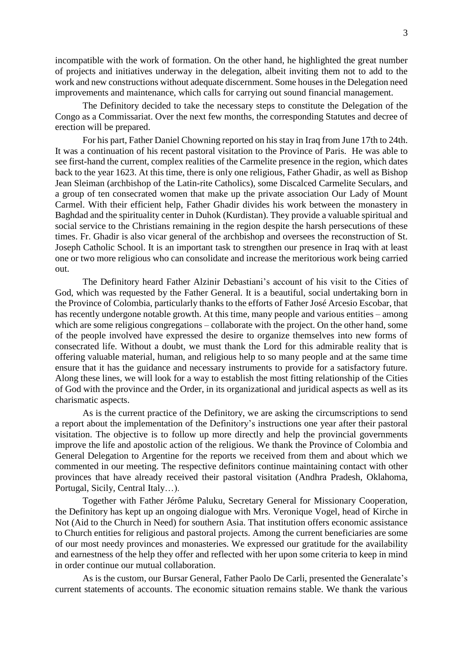incompatible with the work of formation. On the other hand, he highlighted the great number of projects and initiatives underway in the delegation, albeit inviting them not to add to the work and new constructions without adequate discernment. Some houses in the Delegation need improvements and maintenance, which calls for carrying out sound financial management.

The Definitory decided to take the necessary steps to constitute the Delegation of the Congo as a Commissariat. Over the next few months, the corresponding Statutes and decree of erection will be prepared.

For his part, Father Daniel Chowning reported on his stay in Iraq from June 17th to 24th. It was a continuation of his recent pastoral visitation to the Province of Paris. He was able to see first-hand the current, complex realities of the Carmelite presence in the region, which dates back to the year 1623. At this time, there is only one religious, Father Ghadir, as well as Bishop Jean Sleiman (archbishop of the Latin-rite Catholics), some Discalced Carmelite Seculars, and a group of ten consecrated women that make up the private association Our Lady of Mount Carmel. With their efficient help, Father Ghadir divides his work between the monastery in Baghdad and the spirituality center in Duhok (Kurdistan). They provide a valuable spiritual and social service to the Christians remaining in the region despite the harsh persecutions of these times. Fr. Ghadir is also vicar general of the archbishop and oversees the reconstruction of St. Joseph Catholic School. It is an important task to strengthen our presence in Iraq with at least one or two more religious who can consolidate and increase the meritorious work being carried out.

The Definitory heard Father Alzinir Debastiani's account of his visit to the Cities of God, which was requested by the Father General. It is a beautiful, social undertaking born in the Province of Colombia, particularly thanks to the efforts of Father José Arcesio Escobar, that has recently undergone notable growth. At this time, many people and various entities – among which are some religious congregations – collaborate with the project. On the other hand, some of the people involved have expressed the desire to organize themselves into new forms of consecrated life. Without a doubt, we must thank the Lord for this admirable reality that is offering valuable material, human, and religious help to so many people and at the same time ensure that it has the guidance and necessary instruments to provide for a satisfactory future. Along these lines, we will look for a way to establish the most fitting relationship of the Cities of God with the province and the Order, in its organizational and juridical aspects as well as its charismatic aspects.

As is the current practice of the Definitory, we are asking the circumscriptions to send a report about the implementation of the Definitory's instructions one year after their pastoral visitation. The objective is to follow up more directly and help the provincial governments improve the life and apostolic action of the religious. We thank the Province of Colombia and General Delegation to Argentine for the reports we received from them and about which we commented in our meeting. The respective definitors continue maintaining contact with other provinces that have already received their pastoral visitation (Andhra Pradesh, Oklahoma, Portugal, Sicily, Central Italy…).

Together with Father Jérôme Paluku, Secretary General for Missionary Cooperation, the Definitory has kept up an ongoing dialogue with Mrs. Veronique Vogel, head of Kirche in Not (Aid to the Church in Need) for southern Asia. That institution offers economic assistance to Church entities for religious and pastoral projects. Among the current beneficiaries are some of our most needy provinces and monasteries. We expressed our gratitude for the availability and earnestness of the help they offer and reflected with her upon some criteria to keep in mind in order continue our mutual collaboration.

As is the custom, our Bursar General, Father Paolo De Carli, presented the Generalate's current statements of accounts. The economic situation remains stable. We thank the various